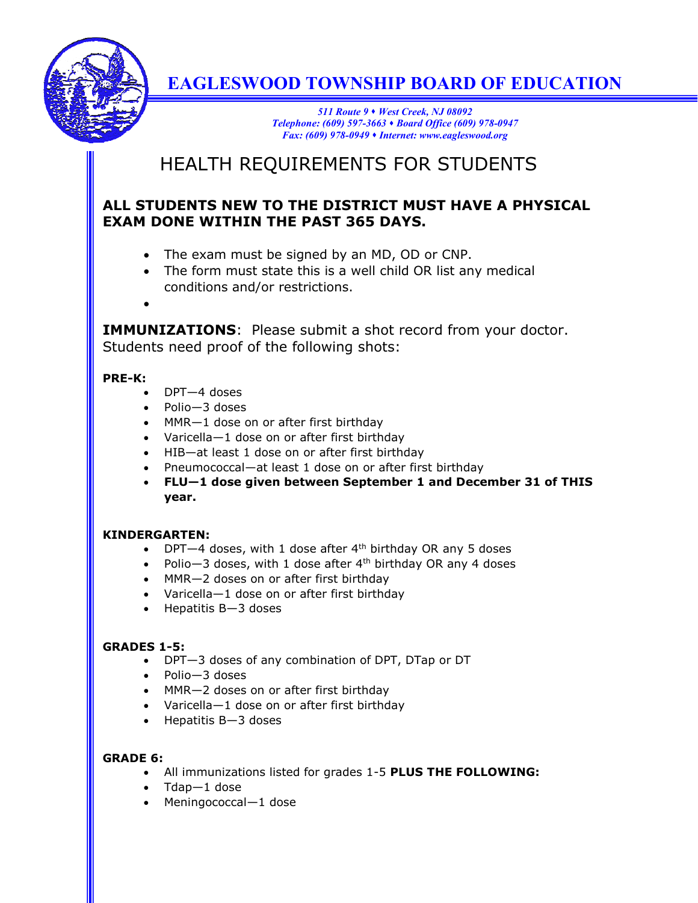

# **EAGLESWOOD TOWNSHIP BOARD OF EDUCATION**

*511 Route 9 West Creek, NJ 08092 Telephone: (609) 597-3663 Board Office (609) 978-0947 Fax: (609) 978-0949 Internet: www.eagleswood.org*

# HEALTH REQUIREMENTS FOR STUDENTS

### **ALL STUDENTS NEW TO THE DISTRICT MUST HAVE A PHYSICAL EXAM DONE WITHIN THE PAST 365 DAYS.**

- The exam must be signed by an MD, OD or CNP.
- The form must state this is a well child OR list any medical conditions and/or restrictions.
- $\bullet$

**IMMUNIZATIONS**: Please submit a shot record from your doctor. Students need proof of the following shots:

#### **PRE-K:**

- DPT-4 doses
- Polio—3 doses
- MMR-1 dose on or after first birthday
- Varicella-1 dose on or after first birthday
- HIB-at least 1 dose on or after first birthday
- Pneumococcal—at least 1 dose on or after first birthday
- **FLU—1 dose given between September 1 and December 31 of THIS year.**

#### **KINDERGARTEN:**

- DPT $-4$  doses, with 1 dose after  $4<sup>th</sup>$  birthday OR any 5 doses
- Polio  $-3$  doses, with 1 dose after  $4<sup>th</sup>$  birthday OR any 4 doses
- MMR-2 doses on or after first birthday
- Varicella-1 dose on or after first birthday
- $\bullet$  Hepatitis B-3 doses

#### **GRADES 1-5:**

- DPT—3 doses of any combination of DPT, DTap or DT
- Polio-3 doses
- MMR-2 doses on or after first birthday
- Varicella-1 dose on or after first birthday
- $\bullet$  Hepatitis B-3 doses

### **GRADE 6:**

- All immunizations listed for grades 1-5 **PLUS THE FOLLOWING:**
- $\bullet$  Tdap-1 dose
- Meningococcal-1 dose